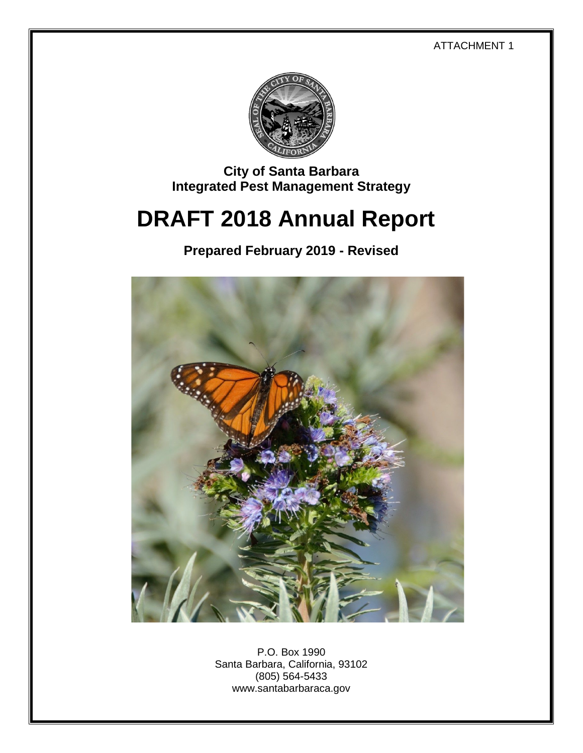ATTACHMENT 1



**City of Santa Barbara Integrated Pest Management Strategy**

# **DRAFT 2018 Annual Report**

**Prepared February 2019 - Revised**



P.O. Box 1990 Santa Barbara, California, 93102 (805) 564-5433 www.santabarbaraca.gov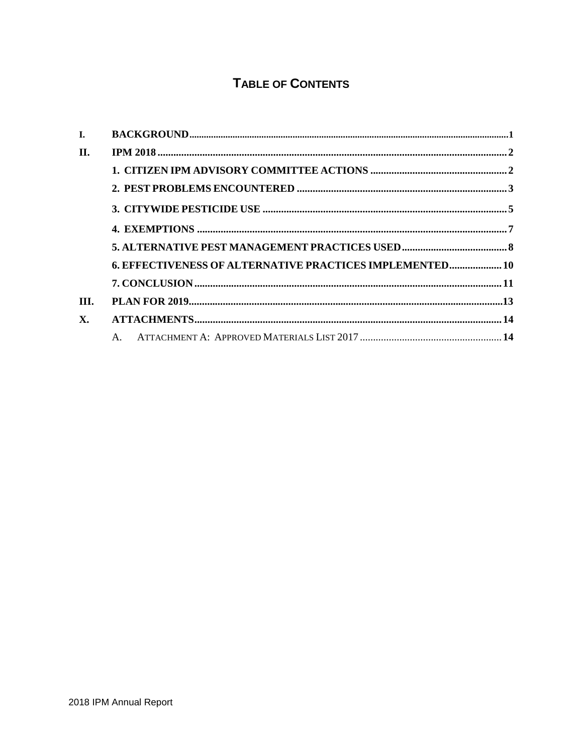# **TABLE OF CONTENTS**

| I.   |                                                          |  |
|------|----------------------------------------------------------|--|
| П.   |                                                          |  |
|      |                                                          |  |
|      |                                                          |  |
|      |                                                          |  |
|      |                                                          |  |
|      |                                                          |  |
|      | 6. EFFECTIVENESS OF ALTERNATIVE PRACTICES IMPLEMENTED 10 |  |
|      |                                                          |  |
| III. |                                                          |  |
| X.   |                                                          |  |
|      |                                                          |  |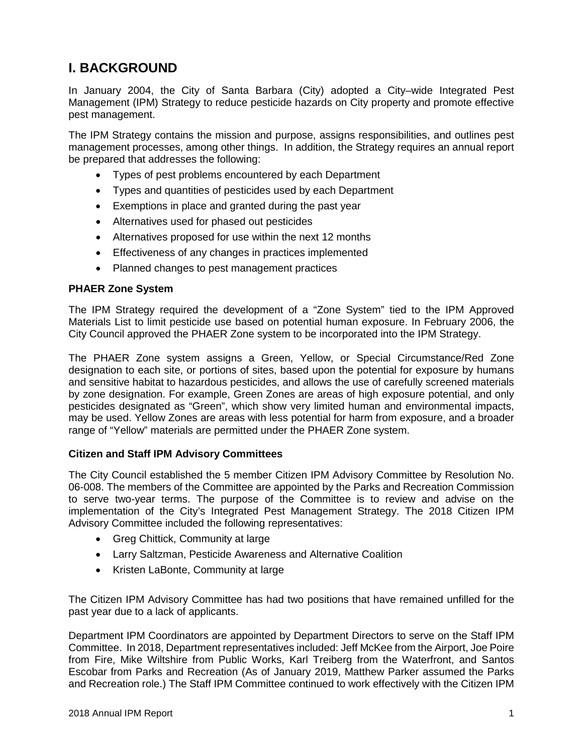# **I. BACKGROUND**

In January 2004, the City of Santa Barbara (City) adopted a City–wide Integrated Pest Management (IPM) Strategy to reduce pesticide hazards on City property and promote effective pest management.

The IPM Strategy contains the mission and purpose, assigns responsibilities, and outlines pest management processes, among other things. In addition, the Strategy requires an annual report be prepared that addresses the following:

- Types of pest problems encountered by each Department
- Types and quantities of pesticides used by each Department
- Exemptions in place and granted during the past year
- Alternatives used for phased out pesticides
- Alternatives proposed for use within the next 12 months
- Effectiveness of any changes in practices implemented
- Planned changes to pest management practices

#### **PHAER Zone System**

The IPM Strategy required the development of a "Zone System" tied to the IPM Approved Materials List to limit pesticide use based on potential human exposure. In February 2006, the City Council approved the PHAER Zone system to be incorporated into the IPM Strategy.

The PHAER Zone system assigns a Green, Yellow, or Special Circumstance/Red Zone designation to each site, or portions of sites, based upon the potential for exposure by humans and sensitive habitat to hazardous pesticides, and allows the use of carefully screened materials by zone designation. For example, Green Zones are areas of high exposure potential, and only pesticides designated as "Green", which show very limited human and environmental impacts, may be used. Yellow Zones are areas with less potential for harm from exposure, and a broader range of "Yellow" materials are permitted under the PHAER Zone system.

#### **Citizen and Staff IPM Advisory Committees**

The City Council established the 5 member Citizen IPM Advisory Committee by Resolution No. 06-008. The members of the Committee are appointed by the Parks and Recreation Commission to serve two-year terms. The purpose of the Committee is to review and advise on the implementation of the City's Integrated Pest Management Strategy. The 2018 Citizen IPM Advisory Committee included the following representatives:

- Greg Chittick, Community at large
- Larry Saltzman, Pesticide Awareness and Alternative Coalition
- Kristen LaBonte, Community at large

The Citizen IPM Advisory Committee has had two positions that have remained unfilled for the past year due to a lack of applicants.

Department IPM Coordinators are appointed by Department Directors to serve on the Staff IPM Committee. In 2018, Department representatives included: Jeff McKee from the Airport, Joe Poire from Fire, Mike Wiltshire from Public Works, Karl Treiberg from the Waterfront, and Santos Escobar from Parks and Recreation (As of January 2019, Matthew Parker assumed the Parks and Recreation role.) The Staff IPM Committee continued to work effectively with the Citizen IPM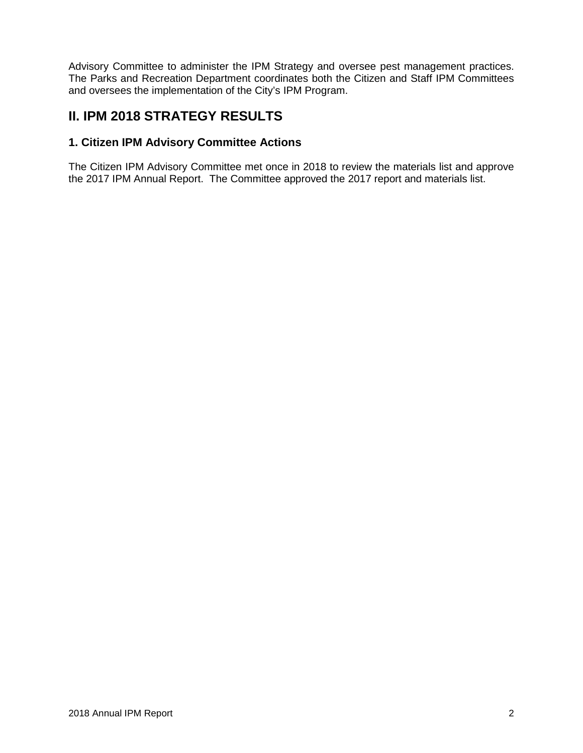Advisory Committee to administer the IPM Strategy and oversee pest management practices. The Parks and Recreation Department coordinates both the Citizen and Staff IPM Committees and oversees the implementation of the City's IPM Program.

## **II. IPM 2018 STRATEGY RESULTS**

## **1. Citizen IPM Advisory Committee Actions**

The Citizen IPM Advisory Committee met once in 2018 to review the materials list and approve the 2017 IPM Annual Report. The Committee approved the 2017 report and materials list.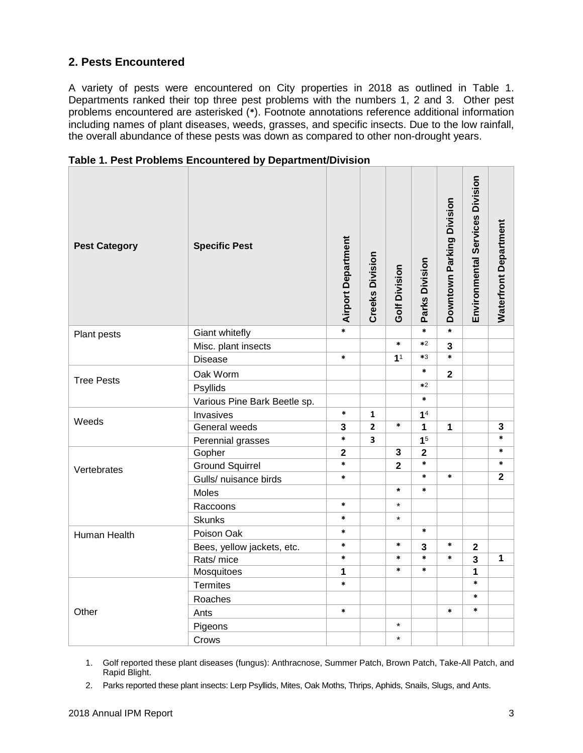#### **2. Pests Encountered**

A variety of pests were encountered on City properties in 2018 as outlined in Table 1. Departments ranked their top three pest problems with the numbers 1, 2 and 3. Other pest problems encountered are asterisked (**\***). Footnote annotations reference additional information including names of plant diseases, weeds, grasses, and specific insects. Due to the low rainfall, the overall abundance of these pests was down as compared to other non-drought years.

| <b>Pest Category</b> | <b>Specific Pest</b>         |                         | <b>Creeks Division</b> | <b>Golf Division</b>    | Parks Division | Downtown Parking Division | Environmental Services Division | <b>Waterfront Department</b> |
|----------------------|------------------------------|-------------------------|------------------------|-------------------------|----------------|---------------------------|---------------------------------|------------------------------|
| Plant pests          | Giant whitefly               | $\overline{\ast}$       |                        |                         | $\ast$         | $\star$                   |                                 |                              |
|                      | Misc. plant insects          |                         |                        | $\ast$                  | $*2$           | $\overline{\mathbf{3}}$   |                                 |                              |
|                      | *<br><b>Disease</b>          |                         |                        | 1 <sup>1</sup>          | $*3$           | $\ast$                    |                                 |                              |
|                      | Oak Worm                     |                         |                        |                         | $\ast$         | $\mathbf{2}$              |                                 |                              |
| <b>Tree Pests</b>    | Psyllids                     |                         |                        |                         | $*2$           |                           |                                 |                              |
|                      | Various Pine Bark Beetle sp. |                         |                        |                         | $\ast$         |                           |                                 |                              |
|                      | Invasives                    | $\ast$                  | $\mathbf{1}$           |                         | 1 <sup>4</sup> |                           |                                 |                              |
| Weeds                | General weeds                | 3                       | $\overline{2}$         | $\ast$                  | $\mathbf{1}$   | 1                         |                                 | 3                            |
|                      | Perennial grasses            | *                       | 3                      |                         | 1 <sup>5</sup> |                           |                                 | $\ast$                       |
|                      | Gopher                       | $\overline{\mathbf{2}}$ |                        | 3                       | $\mathbf{2}$   |                           |                                 | $\ast$                       |
| Vertebrates          | <b>Ground Squirrel</b>       | *                       |                        | $\overline{\mathbf{2}}$ | $\ast$         |                           |                                 | $\ast$                       |
|                      | Gulls/ nuisance birds        | *                       |                        |                         | $\ast$         | $\ast$                    |                                 | $\overline{2}$               |
|                      | Moles                        |                         |                        | $\star$                 | $\ast$         |                           |                                 |                              |
|                      | Raccoons                     | *                       |                        | $\star$                 |                |                           |                                 |                              |
|                      | <b>Skunks</b>                | $\ast$                  |                        | $\star$                 |                |                           |                                 |                              |
| Human Health         | Poison Oak                   | $\ast$                  |                        |                         | $\ast$         |                           |                                 |                              |
|                      | Bees, yellow jackets, etc.   | *                       |                        | $\ast$                  | $\overline{3}$ | $\ast$                    | $\overline{\mathbf{2}}$         |                              |
|                      | Rats/ mice                   | $\ast$                  |                        | $\ast$                  | *              | $\ast$                    | 3                               | $\mathbf{1}$                 |
|                      | Mosquitoes                   | 1                       |                        | $\ast$                  | $\ast$         |                           | 1                               |                              |
|                      | <b>Termites</b>              | $\ast$                  |                        |                         |                |                           | $\ast$                          |                              |
|                      | Roaches                      |                         |                        |                         |                |                           | $\ast$                          |                              |
| Other                | Ants                         | *                       |                        |                         |                | $\ast$                    | $\ast$                          |                              |
|                      | Pigeons                      |                         |                        | $\star$                 |                |                           |                                 |                              |
|                      | Crows                        |                         |                        | $\star$                 |                |                           |                                 |                              |

**Table 1. Pest Problems Encountered by Department/Division**

1. Golf reported these plant diseases (fungus): Anthracnose, Summer Patch, Brown Patch, Take-All Patch, and Rapid Blight.

2. Parks reported these plant insects: Lerp Psyllids, Mites, Oak Moths, Thrips, Aphids, Snails, Slugs, and Ants.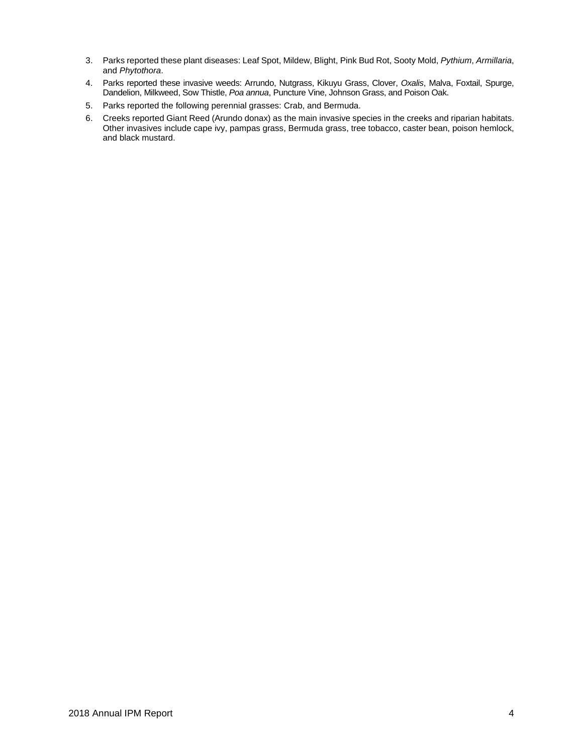- 3. Parks reported these plant diseases: Leaf Spot, Mildew, Blight, Pink Bud Rot, Sooty Mold, *Pythium*, *Armillaria*, and *Phytothora*.
- 4. Parks reported these invasive weeds: Arrundo, Nutgrass, Kikuyu Grass, Clover, *Oxalis*, Malva, Foxtail, Spurge, Dandelion, Milkweed, Sow Thistle, *Poa annua*, Puncture Vine, Johnson Grass, and Poison Oak.
- 5. Parks reported the following perennial grasses: Crab, and Bermuda.
- 6. Creeks reported Giant Reed (Arundo donax) as the main invasive species in the creeks and riparian habitats. Other invasives include cape ivy, pampas grass, Bermuda grass, tree tobacco, caster bean, poison hemlock, and black mustard.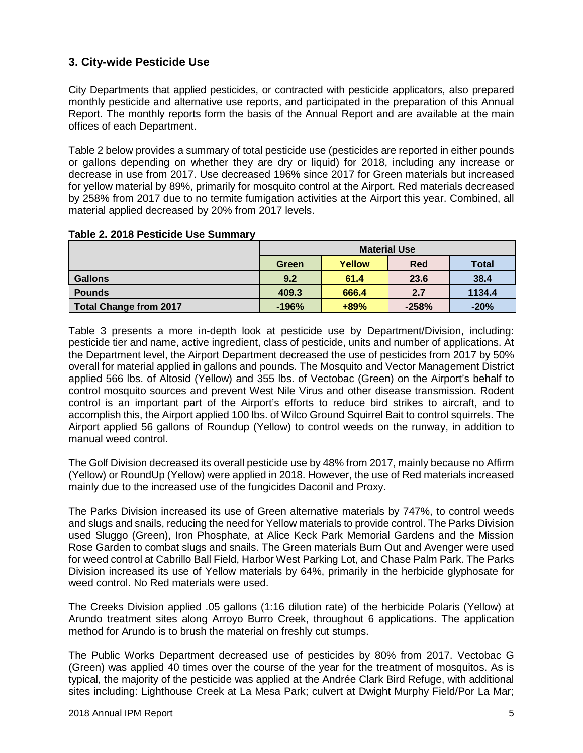## **3. City-wide Pesticide Use**

City Departments that applied pesticides, or contracted with pesticide applicators, also prepared monthly pesticide and alternative use reports, and participated in the preparation of this Annual Report. The monthly reports form the basis of the Annual Report and are available at the main offices of each Department.

Table 2 below provides a summary of total pesticide use (pesticides are reported in either pounds or gallons depending on whether they are dry or liquid) for 2018, including any increase or decrease in use from 2017. Use decreased 196% since 2017 for Green materials but increased for yellow material by 89%, primarily for mosquito control at the Airport. Red materials decreased by 258% from 2017 due to no termite fumigation activities at the Airport this year. Combined, all material applied decreased by 20% from 2017 levels.

|                               | <b>Material Use</b> |        |            |              |  |  |  |  |
|-------------------------------|---------------------|--------|------------|--------------|--|--|--|--|
|                               | Green               | Yellow | <b>Red</b> | <b>Total</b> |  |  |  |  |
| <b>Gallons</b>                | 9.2                 | 61.4   | 23.6       | 38.4         |  |  |  |  |
| <b>Pounds</b>                 | 409.3               | 666.4  | 2.7        | 1134.4       |  |  |  |  |
| <b>Total Change from 2017</b> | $-196%$             | $+89%$ | $-258%$    | $-20%$       |  |  |  |  |

#### **Table 2. 2018 Pesticide Use Summary**

Table 3 presents a more in-depth look at pesticide use by Department/Division, including: pesticide tier and name, active ingredient, class of pesticide, units and number of applications. At the Department level, the Airport Department decreased the use of pesticides from 2017 by 50% overall for material applied in gallons and pounds. The Mosquito and Vector Management District applied 566 lbs. of Altosid (Yellow) and 355 lbs. of Vectobac (Green) on the Airport's behalf to control mosquito sources and prevent West Nile Virus and other disease transmission. Rodent control is an important part of the Airport's efforts to reduce bird strikes to aircraft, and to accomplish this, the Airport applied 100 lbs. of Wilco Ground Squirrel Bait to control squirrels. The Airport applied 56 gallons of Roundup (Yellow) to control weeds on the runway, in addition to manual weed control.

The Golf Division decreased its overall pesticide use by 48% from 2017, mainly because no Affirm (Yellow) or RoundUp (Yellow) were applied in 2018. However, the use of Red materials increased mainly due to the increased use of the fungicides Daconil and Proxy.

The Parks Division increased its use of Green alternative materials by 747%, to control weeds and slugs and snails, reducing the need for Yellow materials to provide control. The Parks Division used Sluggo (Green), Iron Phosphate, at Alice Keck Park Memorial Gardens and the Mission Rose Garden to combat slugs and snails. The Green materials Burn Out and Avenger were used for weed control at Cabrillo Ball Field, Harbor West Parking Lot, and Chase Palm Park. The Parks Division increased its use of Yellow materials by 64%, primarily in the herbicide glyphosate for weed control. No Red materials were used.

The Creeks Division applied .05 gallons (1:16 dilution rate) of the herbicide Polaris (Yellow) at Arundo treatment sites along Arroyo Burro Creek, throughout 6 applications. The application method for Arundo is to brush the material on freshly cut stumps.

The Public Works Department decreased use of pesticides by 80% from 2017. Vectobac G (Green) was applied 40 times over the course of the year for the treatment of mosquitos. As is typical, the majority of the pesticide was applied at the Andrée Clark Bird Refuge, with additional sites including: Lighthouse Creek at La Mesa Park; culvert at Dwight Murphy Field/Por La Mar;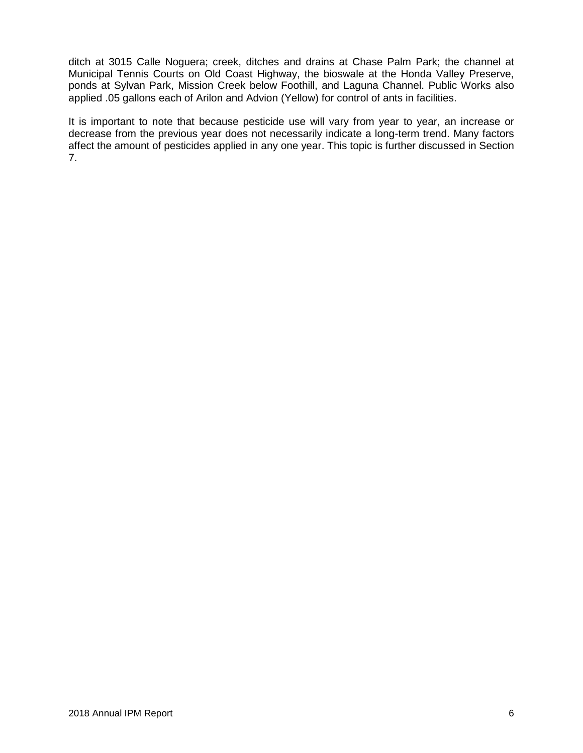ditch at 3015 Calle Noguera; creek, ditches and drains at Chase Palm Park; the channel at Municipal Tennis Courts on Old Coast Highway, the bioswale at the Honda Valley Preserve, ponds at Sylvan Park, Mission Creek below Foothill, and Laguna Channel. Public Works also applied .05 gallons each of Arilon and Advion (Yellow) for control of ants in facilities.

It is important to note that because pesticide use will vary from year to year, an increase or decrease from the previous year does not necessarily indicate a long-term trend. Many factors affect the amount of pesticides applied in any one year. This topic is further discussed in Section 7.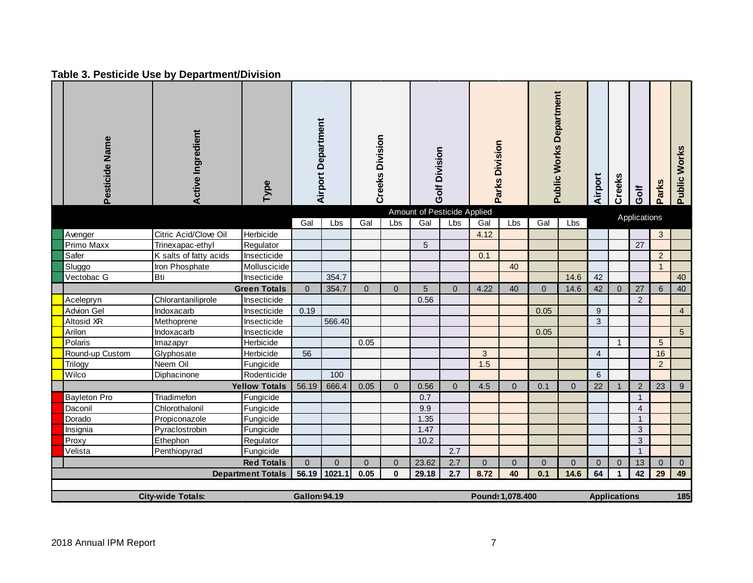## **Table 3. Pesticide Use by Department/Division**

| Pesticide Name      | <b>Active Ingredient</b> | Type                     |                      | <b>Airport Department</b> | <b>Creeks Division</b> |                | Golf Division                      |              | Parks Division |                  | <b>Public Works Department</b> |                | Airport      | Creeks              | Golf           | <b>Parks</b>    | <b>Public Works</b> |
|---------------------|--------------------------|--------------------------|----------------------|---------------------------|------------------------|----------------|------------------------------------|--------------|----------------|------------------|--------------------------------|----------------|--------------|---------------------|----------------|-----------------|---------------------|
|                     |                          |                          | Gal                  | Lbs                       | Gal                    | Lbs            | Amount of Pesticide Applied<br>Gal | Lbs          | Gal            | Lbs              | Gal                            | Lbs            |              |                     | Applications   |                 |                     |
| Avenger             | Citric Acid/Clove Oil    | Herbicide                |                      |                           |                        |                |                                    |              | 4.12           |                  |                                |                |              |                     |                | 3               |                     |
| Primo Maxx          | Trinexapac-ethyl         | Regulator                |                      |                           |                        |                | 5                                  |              |                |                  |                                |                |              |                     | 27             |                 |                     |
| Safer               | K salts of fatty acids   | Insecticide              |                      |                           |                        |                |                                    |              | 0.1            |                  |                                |                |              |                     |                | $\overline{2}$  |                     |
| Sluggo              | Iron Phosphate           | Molluscicide             |                      |                           |                        |                |                                    |              |                | 40               |                                |                |              |                     |                | $\overline{1}$  |                     |
| Vectobac G          | <b>Bti</b>               | Insecticide              |                      | 354.7                     |                        |                |                                    |              |                |                  |                                | 14.6           | 42           |                     |                |                 | 40                  |
|                     |                          | <b>Green Totals</b>      | $\overline{0}$       | 354.7                     | $\overline{0}$         | $\Omega$       | 5                                  | $\Omega$     | 4.22           | 40               | $\Omega$                       | 14.6           | 42           | $\Omega$            | 27             | $6\phantom{a}$  | 40                  |
| Acelepryn           | Chlorantaniliprole       | Insecticide              |                      |                           |                        |                | 0.56                               |              |                |                  |                                |                |              |                     | 2              |                 |                     |
| <b>Advion Gel</b>   | Indoxacarb               | Insecticide              | 0.19                 |                           |                        |                |                                    |              |                |                  | 0.05                           |                | 9            |                     |                |                 | $\overline{4}$      |
| Altosid XR          | Methoprene               | Insecticide              |                      | 566.40                    |                        |                |                                    |              |                |                  |                                |                | 3            |                     |                |                 |                     |
| Arilon              | Indoxacarb               | Insecticide              |                      |                           |                        |                |                                    |              |                |                  | 0.05                           |                |              |                     |                |                 | $5\phantom{.0}$     |
| Polaris             | Imazapyr                 | Herbicide                |                      |                           | 0.05                   |                |                                    |              |                |                  |                                |                |              | $\mathbf{1}$        |                | $5\phantom{.0}$ |                     |
| Round-up Custom     | Glyphosate               | Herbicide                | 56                   |                           |                        |                |                                    |              | 3              |                  |                                |                | 4            |                     |                | 16              |                     |
| <b>Trilogy</b>      | Neem Oil                 | Fungicide                |                      |                           |                        |                |                                    |              | 1.5            |                  |                                |                |              |                     |                | $\overline{2}$  |                     |
| Wilco               | Diphacinone              | Rodenticide              |                      | 100                       |                        |                |                                    |              |                |                  |                                |                | 6            |                     |                |                 |                     |
|                     |                          | <b>Yellow Totals</b>     | 56.19                | 666.4                     | 0.05                   | $\overline{0}$ | 0.56                               | $\mathbf{0}$ | 4.5            | $\overline{0}$   | 0.1                            | $\overline{0}$ | 22           | $\mathbf{1}$        | 2              | 23              | 9                   |
| <b>Bayleton Pro</b> | Triadimefon              | Fungicide                |                      |                           |                        |                | 0.7                                |              |                |                  |                                |                |              |                     | $\mathbf{1}$   |                 |                     |
| Daconil             | Chlorothalonil           | Fungicide                |                      |                           |                        |                | 9.9                                |              |                |                  |                                |                |              |                     | $\overline{4}$ |                 |                     |
| Dorado              | Propiconazole            | Fungicide                |                      |                           |                        |                | 1.35                               |              |                |                  |                                |                |              |                     | $\mathbf{1}$   |                 |                     |
| Insignia            | Pyraclostrobin           | Fungicide                |                      |                           |                        |                | 1.47                               |              |                |                  |                                |                |              |                     | 3              |                 |                     |
| Proxy               | Ethephon                 | Regulator                |                      |                           |                        |                | 10.2                               |              |                |                  |                                |                |              |                     | 3              |                 |                     |
| Velista             | Penthiopyrad             | Fungicide                |                      |                           |                        |                |                                    | 2.7          |                |                  |                                |                |              |                     | $\mathbf{1}$   |                 |                     |
|                     |                          | <b>Red Totals</b>        | $\overline{0}$       | $\Omega$                  | $\overline{0}$         | $\mathbf{0}$   | 23.62                              | 2.7          | $\overline{0}$ | $\pmb{0}$        | $\overline{0}$                 | $\overline{0}$ | $\mathbf{0}$ | $\overline{0}$      | 13             | $\mathbf{0}$    | $\overline{0}$      |
|                     |                          | <b>Department Totals</b> | 56.19                | 1021.1                    | 0.05                   | $\mathbf 0$    | 29.18                              | 2.7          | 8.72           | 40               | 0.1                            | 14.6           | 64           | $\mathbf 1$         | 42             | 29              | 49                  |
|                     |                          |                          |                      |                           |                        |                |                                    |              |                |                  |                                |                |              |                     |                |                 |                     |
|                     | <b>City-wide Totals:</b> |                          | <b>Gallon: 94.19</b> |                           |                        |                |                                    |              |                | Pound: 1,078.400 |                                |                |              | <b>Applications</b> |                |                 | 185                 |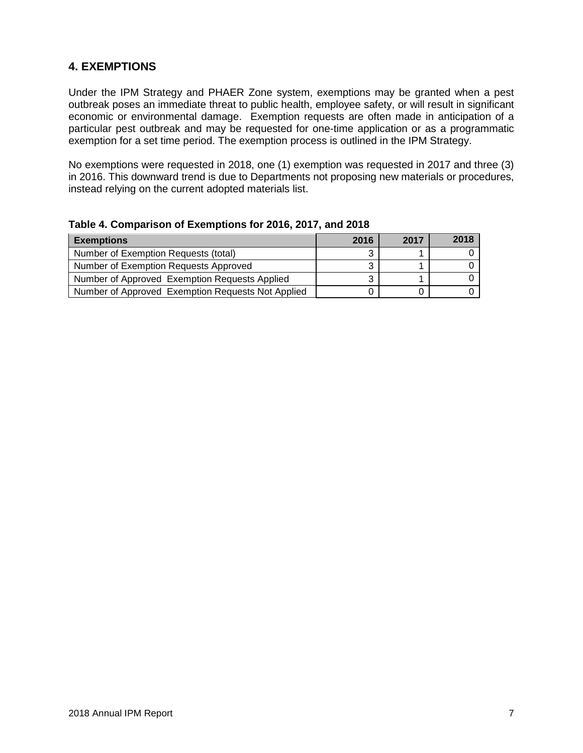## **4. EXEMPTIONS**

Under the IPM Strategy and PHAER Zone system, exemptions may be granted when a pest outbreak poses an immediate threat to public health, employee safety, or will result in significant economic or environmental damage. Exemption requests are often made in anticipation of a particular pest outbreak and may be requested for one-time application or as a programmatic exemption for a set time period. The exemption process is outlined in the IPM Strategy.

No exemptions were requested in 2018, one (1) exemption was requested in 2017 and three (3) in 2016. This downward trend is due to Departments not proposing new materials or procedures, instead relying on the current adopted materials list.

| <b>Exemptions</b>                                 | 2016 | 2017 | 2018 |
|---------------------------------------------------|------|------|------|
| Number of Exemption Requests (total)              |      |      |      |
| Number of Exemption Requests Approved             |      |      |      |
| Number of Approved Exemption Requests Applied     |      |      |      |
| Number of Approved Exemption Requests Not Applied |      |      |      |

| Table 4. Comparison of Exemptions for 2016, 2017, and 2018 |  |  |  |
|------------------------------------------------------------|--|--|--|
|------------------------------------------------------------|--|--|--|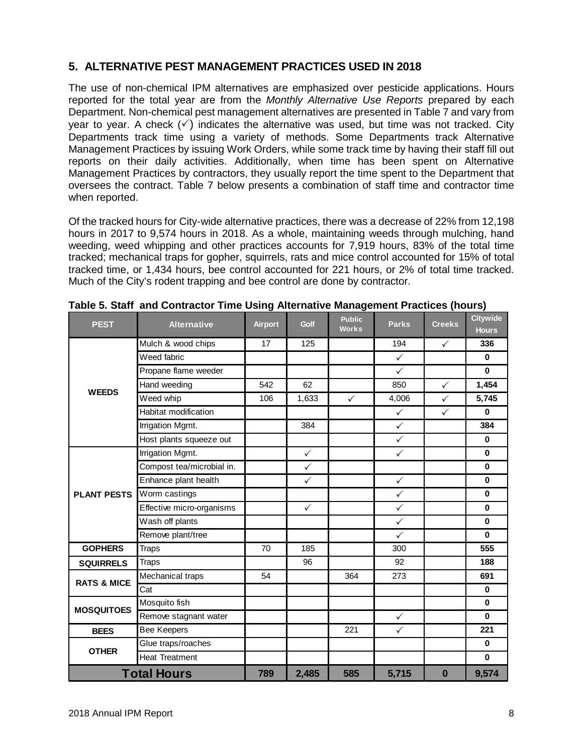## **5. ALTERNATIVE PEST MANAGEMENT PRACTICES USED IN 2018**

The use of non-chemical IPM alternatives are emphasized over pesticide applications. Hours reported for the total year are from the *Monthly Alternative Use Reports* prepared by each Department. Non-chemical pest management alternatives are presented in Table 7 and vary from year to year. A check  $(\check{\phantom{a}})$  indicates the alternative was used, but time was not tracked. City Departments track time using a variety of methods. Some Departments track Alternative Management Practices by issuing Work Orders, while some track time by having their staff fill out reports on their daily activities. Additionally, when time has been spent on Alternative Management Practices by contractors, they usually report the time spent to the Department that oversees the contract. Table 7 below presents a combination of staff time and contractor time when reported.

Of the tracked hours for City-wide alternative practices, there was a decrease of 22% from 12,198 hours in 2017 to 9,574 hours in 2018. As a whole, maintaining weeds through mulching, hand weeding, weed whipping and other practices accounts for 7,919 hours, 83% of the total time tracked; mechanical traps for gopher, squirrels, rats and mice control accounted for 15% of total tracked time, or 1,434 hours, bee control accounted for 221 hours, or 2% of total time tracked. Much of the City's rodent trapping and bee control are done by contractor.

| <b>PEST</b>            | <b>Alternative</b>        | <b>Airport</b> | Golf         | <b>Public</b><br><b>Works</b> | <b>Parks</b> | <b>Creeks</b> | <b>Citywide</b><br><b>Hours</b> |
|------------------------|---------------------------|----------------|--------------|-------------------------------|--------------|---------------|---------------------------------|
|                        | Mulch & wood chips        | 17             | 125          |                               | 194          | $\checkmark$  | 336                             |
|                        | Weed fabric               |                |              |                               | $\checkmark$ |               | $\bf{0}$                        |
|                        | Propane flame weeder      |                |              |                               | $\checkmark$ |               | $\mathbf 0$                     |
| <b>WEEDS</b>           | Hand weeding              | 542            | 62           |                               | 850          | $\checkmark$  | 1,454                           |
|                        | Weed whip                 | 106            | 1,633        | $\checkmark$                  | 4,006        | $\checkmark$  | 5,745                           |
|                        | Habitat modification      |                |              |                               | $\checkmark$ | $\checkmark$  | $\mathbf 0$                     |
|                        | Irrigation Mgmt.          |                | 384          |                               | $\checkmark$ |               | 384                             |
|                        | Host plants squeeze out   |                |              |                               | $\checkmark$ |               | $\mathbf 0$                     |
|                        | Irrigation Mgmt.          |                | $\checkmark$ |                               | $\checkmark$ |               | $\mathbf 0$                     |
|                        | Compost tea/microbial in. |                | $\checkmark$ |                               |              |               | $\bf{0}$                        |
|                        | Enhance plant health      |                | $\checkmark$ |                               | $\checkmark$ |               | $\mathbf 0$                     |
| <b>PLANT PESTS</b>     | Worm castings             |                |              |                               | $\checkmark$ |               | $\bf{0}$                        |
|                        | Effective micro-organisms |                | $\checkmark$ |                               | $\checkmark$ |               | $\mathbf 0$                     |
|                        | Wash off plants           |                |              |                               | $\checkmark$ |               | $\bf{0}$                        |
|                        | Remove plant/tree         |                |              |                               | $\checkmark$ |               | $\bf{0}$                        |
| <b>GOPHERS</b>         | <b>Traps</b>              | 70             | 185          |                               | 300          |               | 555                             |
| <b>SQUIRRELS</b>       | <b>Traps</b>              |                | 96           |                               | 92           |               | 188                             |
| <b>RATS &amp; MICE</b> | Mechanical traps          | 54             |              | 364                           | 273          |               | 691                             |
|                        | Cat                       |                |              |                               |              |               | $\bf{0}$                        |
| <b>MOSQUITOES</b>      | Mosquito fish             |                |              |                               |              |               | $\bf{0}$                        |
|                        | Remove stagnant water     |                |              |                               | $\checkmark$ |               | $\mathbf{0}$                    |
| <b>BEES</b>            | Bee Keepers               |                |              | 221                           | $\checkmark$ |               | 221                             |
|                        | Glue traps/roaches        |                |              |                               |              |               | $\mathbf 0$                     |
| <b>OTHER</b>           | <b>Heat Treatment</b>     |                |              |                               |              |               | $\mathbf 0$                     |
|                        | <b>Total Hours</b>        | 789            | 2,485        | 585                           | 5,715        | 0             | 9,574                           |

|  | Table 5. Staff and Contractor Time Using Alternative Management Practices (hours) |  |  |  |  |  |
|--|-----------------------------------------------------------------------------------|--|--|--|--|--|
|--|-----------------------------------------------------------------------------------|--|--|--|--|--|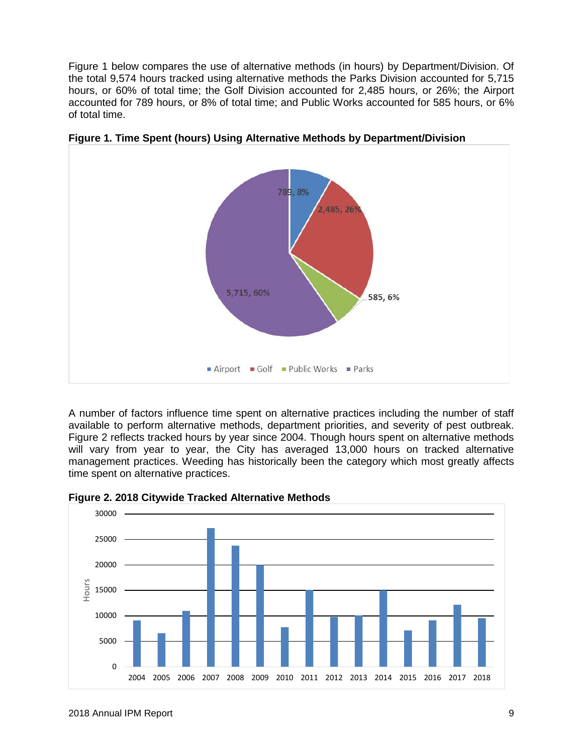Figure 1 below compares the use of alternative methods (in hours) by Department/Division. Of the total 9,574 hours tracked using alternative methods the Parks Division accounted for 5,715 hours, or 60% of total time; the Golf Division accounted for 2,485 hours, or 26%; the Airport accounted for 789 hours, or 8% of total time; and Public Works accounted for 585 hours, or 6% of total time.



**Figure 1. Time Spent (hours) Using Alternative Methods by Department/Division**

A number of factors influence time spent on alternative practices including the number of staff available to perform alternative methods, department priorities, and severity of pest outbreak. Figure 2 reflects tracked hours by year since 2004. Though hours spent on alternative methods will vary from year to year, the City has averaged 13,000 hours on tracked alternative management practices. Weeding has historically been the category which most greatly affects time spent on alternative practices.



**Figure 2. 2018 Citywide Tracked Alternative Methods**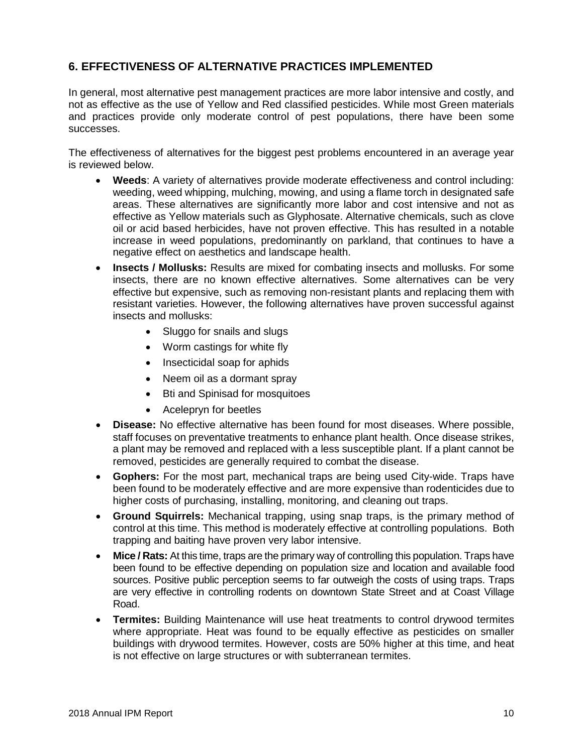## **6. EFFECTIVENESS OF ALTERNATIVE PRACTICES IMPLEMENTED**

In general, most alternative pest management practices are more labor intensive and costly, and not as effective as the use of Yellow and Red classified pesticides. While most Green materials and practices provide only moderate control of pest populations, there have been some successes.

The effectiveness of alternatives for the biggest pest problems encountered in an average year is reviewed below.

- **Weeds**: A variety of alternatives provide moderate effectiveness and control including: weeding, weed whipping, mulching, mowing, and using a flame torch in designated safe areas. These alternatives are significantly more labor and cost intensive and not as effective as Yellow materials such as Glyphosate. Alternative chemicals, such as clove oil or acid based herbicides, have not proven effective. This has resulted in a notable increase in weed populations, predominantly on parkland, that continues to have a negative effect on aesthetics and landscape health.
- **Insects / Mollusks:** Results are mixed for combating insects and mollusks. For some insects, there are no known effective alternatives. Some alternatives can be very effective but expensive, such as removing non-resistant plants and replacing them with resistant varieties. However, the following alternatives have proven successful against insects and mollusks:
	- Sluggo for snails and slugs
	- Worm castings for white fly
	- Insecticidal soap for aphids
	- Neem oil as a dormant spray
	- Bti and Spinisad for mosquitoes
	- Acelepryn for beetles
- **Disease:** No effective alternative has been found for most diseases. Where possible, staff focuses on preventative treatments to enhance plant health. Once disease strikes, a plant may be removed and replaced with a less susceptible plant. If a plant cannot be removed, pesticides are generally required to combat the disease.
- **Gophers:** For the most part, mechanical traps are being used City-wide. Traps have been found to be moderately effective and are more expensive than rodenticides due to higher costs of purchasing, installing, monitoring, and cleaning out traps.
- **Ground Squirrels:** Mechanical trapping, using snap traps, is the primary method of control at this time. This method is moderately effective at controlling populations. Both trapping and baiting have proven very labor intensive.
- **Mice / Rats:** At this time, traps are the primary way of controlling this population. Traps have been found to be effective depending on population size and location and available food sources. Positive public perception seems to far outweigh the costs of using traps. Traps are very effective in controlling rodents on downtown State Street and at Coast Village Road.
- **Termites:** Building Maintenance will use heat treatments to control drywood termites where appropriate. Heat was found to be equally effective as pesticides on smaller buildings with drywood termites. However, costs are 50% higher at this time, and heat is not effective on large structures or with subterranean termites.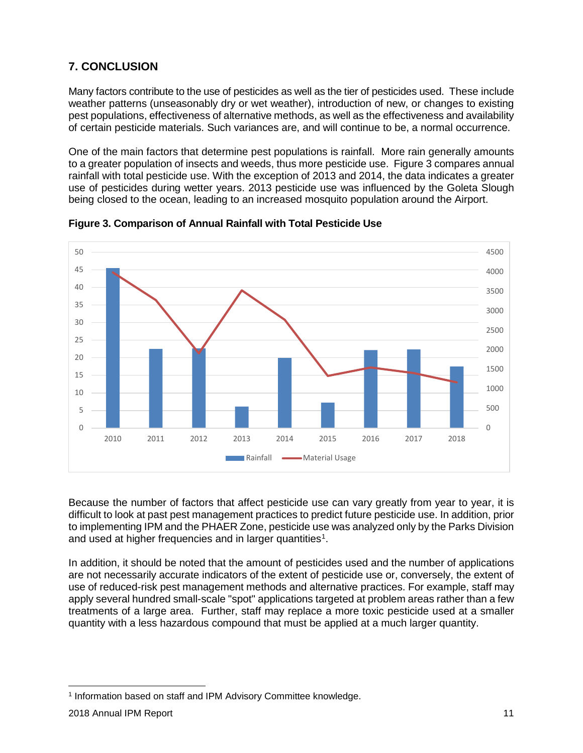## **7. CONCLUSION**

Many factors contribute to the use of pesticides as well as the tier of pesticides used. These include weather patterns (unseasonably dry or wet weather), introduction of new, or changes to existing pest populations, effectiveness of alternative methods, as well as the effectiveness and availability of certain pesticide materials. Such variances are, and will continue to be, a normal occurrence.

One of the main factors that determine pest populations is rainfall. More rain generally amounts to a greater population of insects and weeds, thus more pesticide use. Figure 3 compares annual rainfall with total pesticide use. With the exception of 2013 and 2014, the data indicates a greater use of pesticides during wetter years. 2013 pesticide use was influenced by the Goleta Slough being closed to the ocean, leading to an increased mosquito population around the Airport.



**Figure 3. Comparison of Annual Rainfall with Total Pesticide Use**

Because the number of factors that affect pesticide use can vary greatly from year to year, it is difficult to look at past pest management practices to predict future pesticide use. In addition, prior to implementing IPM and the PHAER Zone, pesticide use was analyzed only by the Parks Division and used at higher frequencies and in larger quantities<sup>[1](#page-14-0)</sup>.

In addition, it should be noted that the amount of pesticides used and the number of applications are not necessarily accurate indicators of the extent of pesticide use or, conversely, the extent of use of reduced-risk pest management methods and alternative practices. For example, staff may apply several hundred small-scale "spot" applications targeted at problem areas rather than a few treatments of a large area. Further, staff may replace a more toxic pesticide used at a smaller quantity with a less hazardous compound that must be applied at a much larger quantity.

<span id="page-14-0"></span> <sup>1</sup> Information based on staff and IPM Advisory Committee knowledge.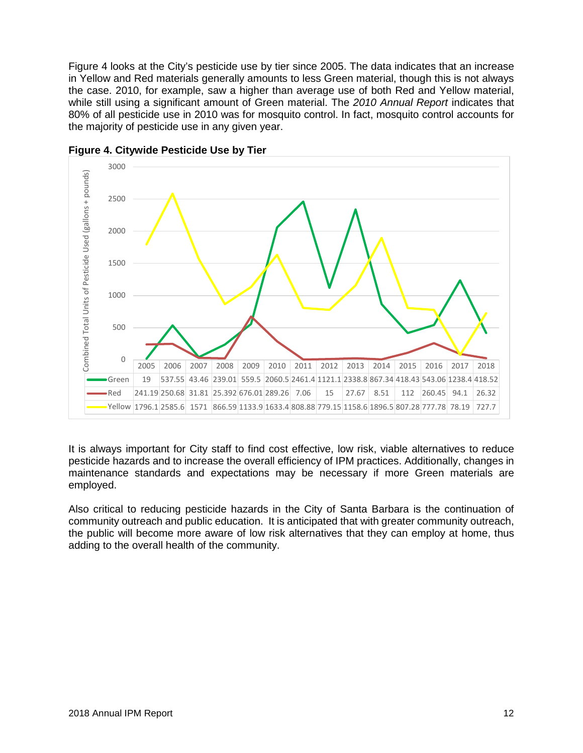Figure 4 looks at the City's pesticide use by tier since 2005. The data indicates that an increase in Yellow and Red materials generally amounts to less Green material, though this is not always the case. 2010, for example, saw a higher than average use of both Red and Yellow material, while still using a significant amount of Green material. The *2010 Annual Report* indicates that 80% of all pesticide use in 2010 was for mosquito control. In fact, mosquito control accounts for the majority of pesticide use in any given year.



**Figure 4. Citywide Pesticide Use by Tier**

It is always important for City staff to find cost effective, low risk, viable alternatives to reduce pesticide hazards and to increase the overall efficiency of IPM practices. Additionally, changes in maintenance standards and expectations may be necessary if more Green materials are employed.

Also critical to reducing pesticide hazards in the City of Santa Barbara is the continuation of community outreach and public education. It is anticipated that with greater community outreach, the public will become more aware of low risk alternatives that they can employ at home, thus adding to the overall health of the community.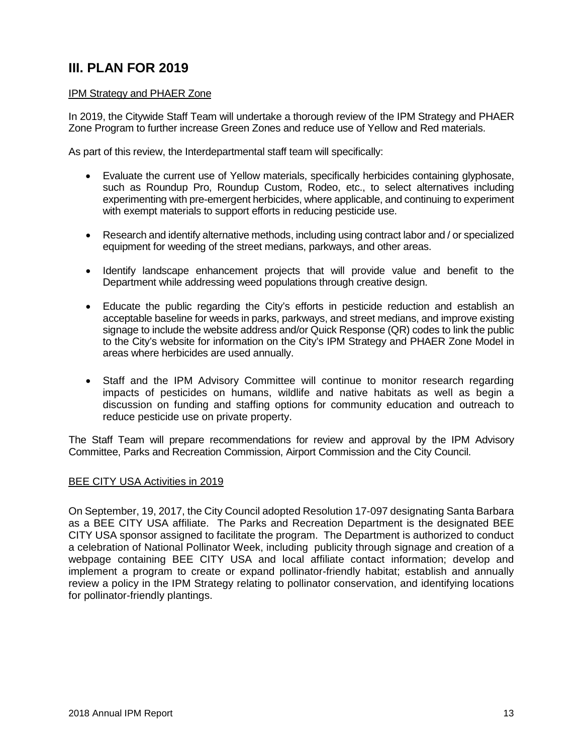# **III. PLAN FOR 2019**

#### IPM Strategy and PHAER Zone

In 2019, the Citywide Staff Team will undertake a thorough review of the IPM Strategy and PHAER Zone Program to further increase Green Zones and reduce use of Yellow and Red materials.

As part of this review, the Interdepartmental staff team will specifically:

- Evaluate the current use of Yellow materials, specifically herbicides containing glyphosate, such as Roundup Pro, Roundup Custom, Rodeo, etc., to select alternatives including experimenting with pre-emergent herbicides, where applicable, and continuing to experiment with exempt materials to support efforts in reducing pesticide use.
- Research and identify alternative methods, including using contract labor and / or specialized equipment for weeding of the street medians, parkways, and other areas.
- Identify landscape enhancement projects that will provide value and benefit to the Department while addressing weed populations through creative design.
- Educate the public regarding the City's efforts in pesticide reduction and establish an acceptable baseline for weeds in parks, parkways, and street medians, and improve existing signage to include the website address and/or Quick Response (QR) codes to link the public to the City's website for information on the City's IPM Strategy and PHAER Zone Model in areas where herbicides are used annually.
- Staff and the IPM Advisory Committee will continue to monitor research regarding impacts of pesticides on humans, wildlife and native habitats as well as begin a discussion on funding and staffing options for community education and outreach to reduce pesticide use on private property.

The Staff Team will prepare recommendations for review and approval by the IPM Advisory Committee, Parks and Recreation Commission, Airport Commission and the City Council.

#### **BEE CITY USA Activities in 2019**

On September, 19, 2017, the City Council adopted Resolution 17-097 designating Santa Barbara as a BEE CITY USA affiliate. The Parks and Recreation Department is the designated BEE CITY USA sponsor assigned to facilitate the program. The Department is authorized to conduct a celebration of National Pollinator Week, including publicity through signage and creation of a webpage containing BEE CITY USA and local affiliate contact information; develop and implement a program to create or expand pollinator-friendly habitat; establish and annually review a policy in the IPM Strategy relating to pollinator conservation, and identifying locations for pollinator-friendly plantings.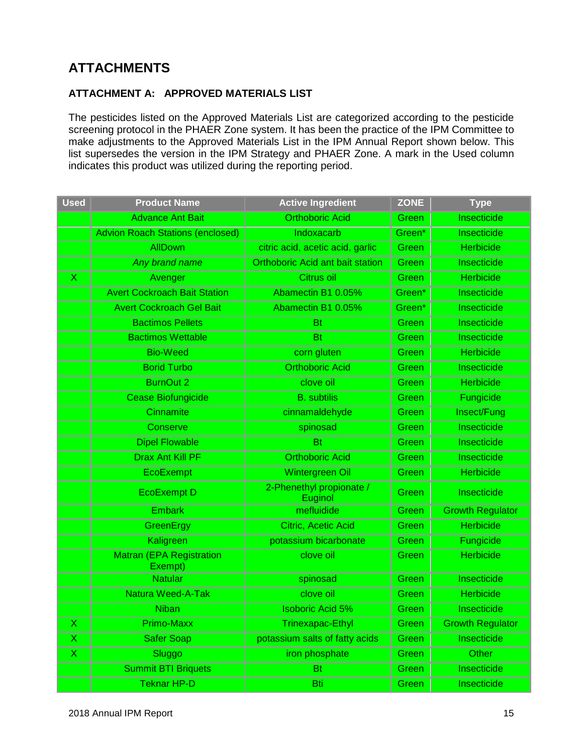# **ATTACHMENTS**

#### **ATTACHMENT A: APPROVED MATERIALS LIST**

The pesticides listed on the Approved Materials List are categorized according to the pesticide screening protocol in the PHAER Zone system. It has been the practice of the IPM Committee to make adjustments to the Approved Materials List in the IPM Annual Report shown below. This list supersedes the version in the IPM Strategy and PHAER Zone. A mark in the Used column indicates this product was utilized during the reporting period.

| <b>Used</b>             | <b>Product Name</b>                        | <b>Active Ingredient</b>                | <b>ZONE</b> | <b>Type</b>             |
|-------------------------|--------------------------------------------|-----------------------------------------|-------------|-------------------------|
|                         | <b>Advance Ant Bait</b>                    | <b>Orthoboric Acid</b>                  | Green       | Insecticide             |
|                         | <b>Advion Roach Stations (enclosed)</b>    | Indoxacarb                              | Green*      | Insecticide             |
|                         | <b>AllDown</b>                             | citric acid, acetic acid, garlic        | Green       | <b>Herbicide</b>        |
|                         | Any brand name                             | <b>Orthoboric Acid ant bait station</b> | Green       | Insecticide             |
| $\overline{\mathsf{x}}$ | Avenger                                    | Citrus oil                              | Green       | <b>Herbicide</b>        |
|                         | <b>Avert Cockroach Bait Station</b>        | Abamectin B1 0.05%                      | Green*      | Insecticide             |
|                         | <b>Avert Cockroach Gel Bait</b>            | Abamectin B1 0.05%                      | Green*      | Insecticide             |
|                         | <b>Bactimos Pellets</b>                    | <b>Bt</b>                               | Green       | Insecticide             |
|                         | <b>Bactimos Wettable</b>                   | <b>Bt</b>                               | Green       | Insecticide             |
|                         | <b>Bio-Weed</b>                            | corn gluten                             | Green       | <b>Herbicide</b>        |
|                         | <b>Borid Turbo</b>                         | <b>Orthoboric Acid</b>                  | Green       | Insecticide             |
|                         | <b>BurnOut 2</b>                           | clove oil                               | Green       | <b>Herbicide</b>        |
|                         | Cease Biofungicide                         | <b>B.</b> subtilis                      | Green       | Fungicide               |
|                         | Cinnamite                                  | cinnamaldehyde                          | Green       | Insect/Fung             |
|                         | Conserve                                   | spinosad                                | Green       | Insecticide             |
|                         | <b>Dipel Flowable</b>                      | <b>Bt</b>                               | Green       | Insecticide             |
|                         | <b>Drax Ant Kill PF</b>                    | <b>Orthoboric Acid</b>                  | Green       | <b>Insecticide</b>      |
|                         | <b>EcoExempt</b>                           | Wintergreen Oil                         | Green       | <b>Herbicide</b>        |
|                         | <b>EcoExempt D</b>                         | 2-Phenethyl propionate /<br>Euginol     | Green       | Insecticide             |
|                         | <b>Embark</b>                              | mefluidide                              | Green       | <b>Growth Regulator</b> |
|                         | GreenErgy                                  | Citric, Acetic Acid                     | Green       | <b>Herbicide</b>        |
|                         | Kaligreen                                  | potassium bicarbonate                   | Green       | Fungicide               |
|                         | <b>Matran (EPA Registration</b><br>Exempt) | clove oil                               | Green       | <b>Herbicide</b>        |
|                         | <b>Natular</b>                             | spinosad                                | Green       | Insecticide             |
|                         | <b>Natura Weed-A-Tak</b>                   | clove oil                               | Green       | <b>Herbicide</b>        |
|                         | <b>Niban</b>                               | <b>Isoboric Acid 5%</b>                 | Green       | <b>Insecticide</b>      |
| х                       | Primo-Maxx                                 | <b>Trinexapac-Ethyl</b>                 | Green       | <b>Growth Regulator</b> |
| X                       | <b>Safer Soap</b>                          | potassium salts of fatty acids          | Green       | <b>Insecticide</b>      |
| X                       | Sluggo                                     | iron phosphate                          | Green       | Other                   |
|                         | <b>Summit BTI Briquets</b>                 | <b>Bt</b>                               | Green       | Insecticide             |
|                         | <b>Teknar HP-D</b>                         | Bti                                     | Green       | Insecticide             |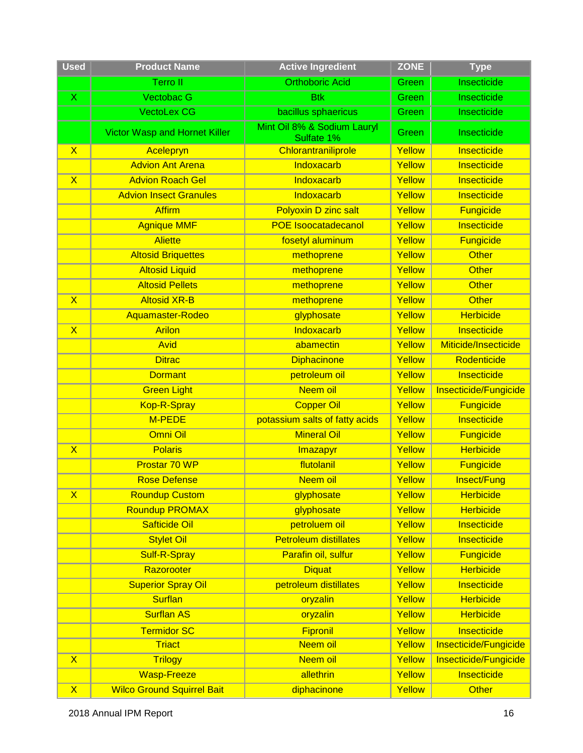| <b>Used</b>             | <b>Product Name</b>                  | <b>Active Ingredient</b>                  | <b>ZONE</b> | <b>Type</b>           |
|-------------------------|--------------------------------------|-------------------------------------------|-------------|-----------------------|
|                         | <b>Terroll</b>                       | <b>Orthoboric Acid</b>                    | Green       | Insecticide           |
| $\mathsf{X}$            | <b>Vectobac G</b>                    | <b>Btk</b>                                | Green       | Insecticide           |
|                         | <b>VectoLex CG</b>                   | bacillus sphaericus                       | Green       | Insecticide           |
|                         | <b>Victor Wasp and Hornet Killer</b> | Mint Oil 8% & Sodium Lauryl<br>Sulfate 1% | Green       | Insecticide           |
| $\overline{\mathsf{X}}$ | Acelepryn                            | Chlorantraniliprole                       | Yellow      | Insecticide           |
|                         | <b>Advion Ant Arena</b>              | Indoxacarb                                | Yellow      | Insecticide           |
| $\overline{\mathsf{X}}$ | <b>Advion Roach Gel</b>              | Indoxacarb                                | Yellow      | Insecticide           |
|                         | <b>Advion Insect Granules</b>        | Indoxacarb                                | Yellow      | Insecticide           |
|                         | <b>Affirm</b>                        | <b>Polyoxin D zinc salt</b>               | Yellow      | <b>Fungicide</b>      |
|                         | <b>Agnique MMF</b>                   | <b>POE Isoocatadecanol</b>                | Yellow      | Insecticide           |
|                         | <b>Aliette</b>                       | fosetyl aluminum                          | Yellow      | <b>Fungicide</b>      |
|                         | <b>Altosid Briquettes</b>            | methoprene                                | Yellow      | <b>Other</b>          |
|                         | <b>Altosid Liquid</b>                | methoprene                                | Yellow      | <b>Other</b>          |
|                         | <b>Altosid Pellets</b>               | methoprene                                | Yellow      | Other                 |
| $\overline{\mathsf{X}}$ | <b>Altosid XR-B</b>                  | methoprene                                | Yellow      | <b>Other</b>          |
|                         | Aquamaster-Rodeo                     | glyphosate                                | Yellow      | <b>Herbicide</b>      |
| $\overline{\mathsf{X}}$ | <b>Arilon</b>                        | Indoxacarb                                | Yellow      | Insecticide           |
|                         | <b>Avid</b>                          | abamectin                                 | Yellow      | Miticide/Insecticide  |
|                         | <b>Ditrac</b>                        | <b>Diphacinone</b>                        | Yellow      | Rodenticide           |
|                         | <b>Dormant</b>                       | petroleum oil                             | Yellow      | Insecticide           |
|                         | <b>Green Light</b>                   | Neem oil                                  | Yellow      | Insecticide/Fungicide |
|                         | Kop-R-Spray                          | <b>Copper Oil</b>                         | Yellow      | <b>Fungicide</b>      |
|                         | M-PEDE                               | potassium salts of fatty acids            | Yellow      | Insecticide           |
|                         | Omni Oil                             | <b>Mineral Oil</b>                        | Yellow      | <b>Fungicide</b>      |
| $\overline{\mathsf{X}}$ | <b>Polaris</b>                       | Imazapyr                                  | Yellow      | <b>Herbicide</b>      |
|                         | Prostar 70 WP                        | flutolanil                                | Yellow      | <b>Fungicide</b>      |
|                         | <b>Rose Defense</b>                  | Neem oil                                  | Yellow      | Insect/Fung           |
| $\mathsf{X}$            | <b>Roundup Custom</b>                | glyphosate                                | Yellow      | <b>Herbicide</b>      |
|                         | <b>Roundup PROMAX</b>                | glyphosate                                | Yellow      | <b>Herbicide</b>      |
|                         | <b>Safticide Oil</b>                 | petroluem oil                             | Yellow      | Insecticide           |
|                         | <b>Stylet Oil</b>                    | <b>Petroleum distillates</b>              | Yellow      | Insecticide           |
|                         | Sulf-R-Spray                         | Parafin oil, sulfur                       | Yellow      | <b>Fungicide</b>      |
|                         | Razorooter                           | <b>Diquat</b>                             | Yellow      | <b>Herbicide</b>      |
|                         | <b>Superior Spray Oil</b>            | petroleum distillates                     | Yellow      | Insecticide           |
|                         | <b>Surflan</b>                       | oryzalin                                  | Yellow      | <b>Herbicide</b>      |
|                         | <b>Surflan AS</b>                    | oryzalin                                  | Yellow      | <b>Herbicide</b>      |
|                         | <b>Termidor SC</b>                   | Fipronil                                  | Yellow      | Insecticide           |
|                         | <b>Triact</b>                        | Neem oil                                  | Yellow      | Insecticide/Fungicide |
| $\mathsf{X}$            | <b>Trilogy</b>                       | Neem oil                                  | Yellow      | Insecticide/Fungicide |
|                         | <b>Wasp-Freeze</b>                   | allethrin                                 | Yellow      | Insecticide           |
| $\mathsf{X}$            | <b>Wilco Ground Squirrel Bait</b>    | diphacinone                               | Yellow      | <b>Other</b>          |